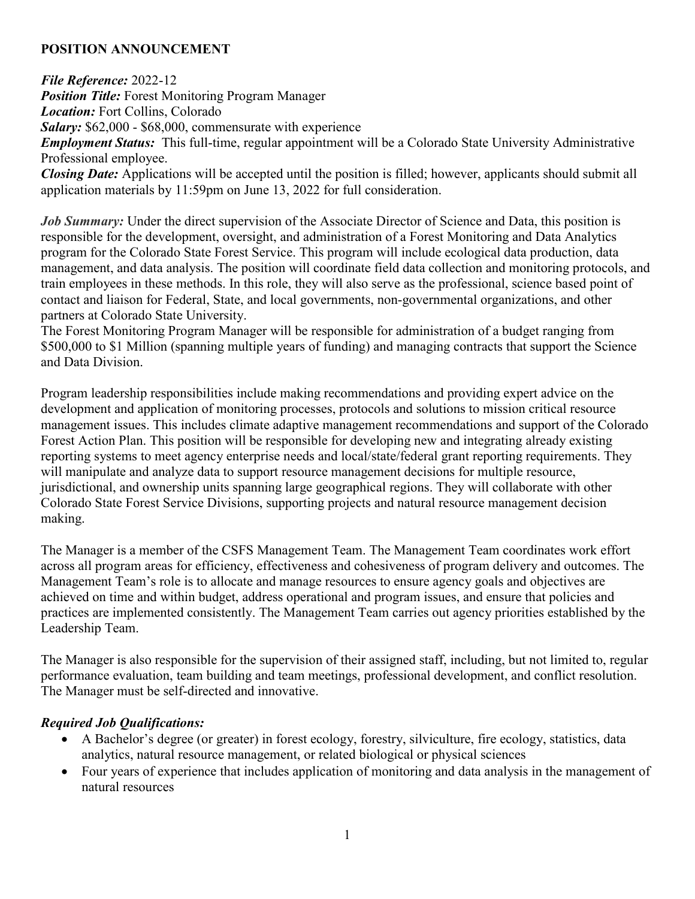## **POSITION ANNOUNCEMENT**

*File Reference:* 2022-12

*Position Title:* Forest Monitoring Program Manager

*Location:* Fort Collins, Colorado

*Salary:* \$62,000 - \$68,000, commensurate with experience

*Employment Status:* This full-time, regular appointment will be a Colorado State University Administrative Professional employee.

*Closing Date:* Applications will be accepted until the position is filled; however, applicants should submit all application materials by 11:59pm on June 13, 2022 for full consideration.

*Job Summary:* Under the direct supervision of the Associate Director of Science and Data, this position is responsible for the development, oversight, and administration of a Forest Monitoring and Data Analytics program for the Colorado State Forest Service. This program will include ecological data production, data management, and data analysis. The position will coordinate field data collection and monitoring protocols, and train employees in these methods. In this role, they will also serve as the professional, science based point of contact and liaison for Federal, State, and local governments, non-governmental organizations, and other partners at Colorado State University.

The Forest Monitoring Program Manager will be responsible for administration of a budget ranging from \$500,000 to \$1 Million (spanning multiple years of funding) and managing contracts that support the Science and Data Division.

Program leadership responsibilities include making recommendations and providing expert advice on the development and application of monitoring processes, protocols and solutions to mission critical resource management issues. This includes climate adaptive management recommendations and support of the Colorado Forest Action Plan. This position will be responsible for developing new and integrating already existing reporting systems to meet agency enterprise needs and local/state/federal grant reporting requirements. They will manipulate and analyze data to support resource management decisions for multiple resource, jurisdictional, and ownership units spanning large geographical regions. They will collaborate with other Colorado State Forest Service Divisions, supporting projects and natural resource management decision making.

The Manager is a member of the CSFS Management Team. The Management Team coordinates work effort across all program areas for efficiency, effectiveness and cohesiveness of program delivery and outcomes. The Management Team's role is to allocate and manage resources to ensure agency goals and objectives are achieved on time and within budget, address operational and program issues, and ensure that policies and practices are implemented consistently. The Management Team carries out agency priorities established by the Leadership Team.

The Manager is also responsible for the supervision of their assigned staff, including, but not limited to, regular performance evaluation, team building and team meetings, professional development, and conflict resolution. The Manager must be self-directed and innovative.

## *Required Job Qualifications:*

- A Bachelor's degree (or greater) in forest ecology, forestry, silviculture, fire ecology, statistics, data analytics, natural resource management, or related biological or physical sciences
- Four years of experience that includes application of monitoring and data analysis in the management of natural resources